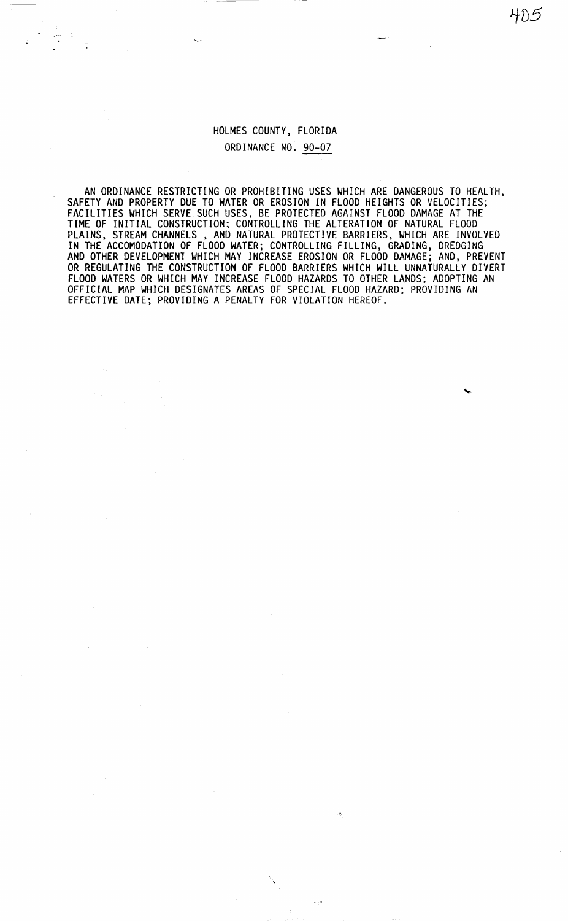HOLMES COUNTY, FLORIDA ORDINANCE NO. 90-07

·--

 $\frac{1}{\sqrt{2}}$ 

AN ORDINANCE RESTRICTING OR PROHIBITING USES WHICH ARE DANGEROUS TO HEALTH, SAFETY AND PROPERTY DUE TO WATER OR EROSION IN FLOOD HEIGHTS OR VELOCITIES; FACILITIES WHICH SERVE SUCH USES, BE PROTECTED AGAINST FLOOD DAMAGE AT THE TIME OF INITIAL CONSTRUCTION; CONTROLLING THE ALTERATION OF NATURAL FLOOD PLAINS, STREAM CHANNELS , AND NATURAL PROTECTIVE BARRIERS, WHICH ARE INVOLVED IN THE ACCOMODATION OF FLOOD WATER; CONTROLLING FILLING, GRADING, DREDGING AND OTHER DEVELOPMENT WHICH MAY INCREASE EROSION OR FLOOD DAMAGE; AND, PREVENT OR REGULATING THE CONSTRUCTION OF FLOOD BARRIERS WHICH WILL UNNATURALLY DIVERT FLOOD WATERS OR WHICH MAY INCREASE FLOOD HAZARDS TO OTHER LANDS; ADOPTING AN OFFICIAL MAP WHICH DESIGNATES AREAS OF SPECIAL FLOOD HAZARD; PROVIDING AN EFFECTIVE DATE; PROVIDING A PENALTY FOR VIOLATION HEREOF.

 $\Delta$  .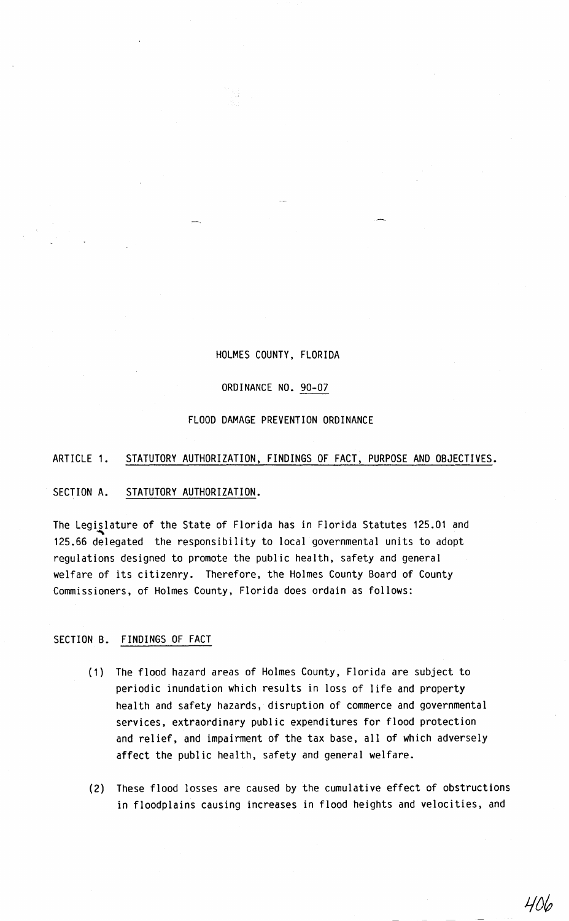## HOLMES COUNTY, FLORIDA

### ORDINANCE NO. 90-07

#### FLOOD DAMAGE PREVENTION ORDINANCE

## ARTICLE 1. STATUTORY AUTHORIZATION, FINDINGS OF FACT, PURPOSE AND OBJECTIVES.

## SECTION A. STATUTORY AUTHORIZATION.

The Legislature of the State of Florida has in Florida Statutes 125.01 and 125.66 delegated the responsibility to local governmental units to adopt regulations designed to promote the public health, safety and general welfare of its citizenry. Therefore, the Holmes County Board of County Commissioners, of Holmes County, Florida does ordain as follows:

## SECTION B. FINDINGS OF FACT

- (1) The flood hazard areas of Holmes County, Florida are subject to periodic inundation which results in loss of life and property health and safety hazards, disruption of commerce and governmental services, extraordinary public expenditures for flood protection and relief, and impairment of the tax base, all of which adversely affect the public health, safety and general welfare.
- (2) These flood losses are caused by the cumulative effect of obstructions in floodplains causing increases in flood heights and velocities, and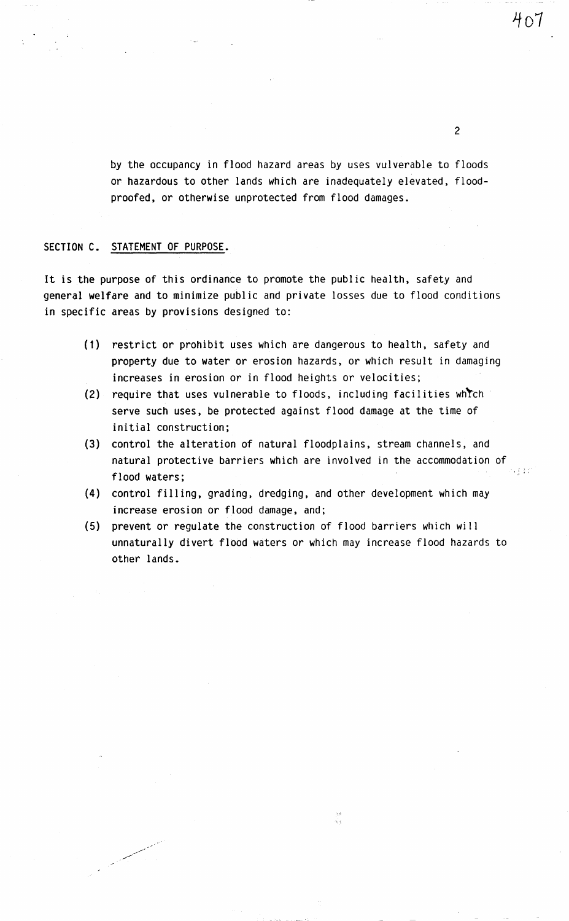2

by the occupancy in flood hazard areas by uses vulverable to floods or hazardous to other lands which are inadequately elevated, floodproofed, or otherwise unprotected from flood damages.

## SECTION C. STATEMENT OF PURPOSE.

فسيمتع المستحقين

It is the purpose of this ordinance to promote the public health, safety and general welfare and to minimize public and private losses due to flood conditions in specific areas by provisions designed to:

- (1) restrict or prohibit uses which are dangerous to health, safety and property due to water or erosion hazards, or which result in damaging increases in erosion or in flood heights or velocities;
- (2) require that uses vulnerable to floods, including facilities wh"tch serve such uses, be protected against flood damage at the time of initial construction;
- (3) control the alteration of natural floodplains, stream channels, and natural protective barriers which are involved in the accommodation of flood waters;
- (4) control filling, grading, dredging, and other development which may increase erosion or flood damage, and;
- (5) prevent or regulate the construction of flood barriers which will unnaturally divert flood waters or which may increase flood hazards to other lands.

ų.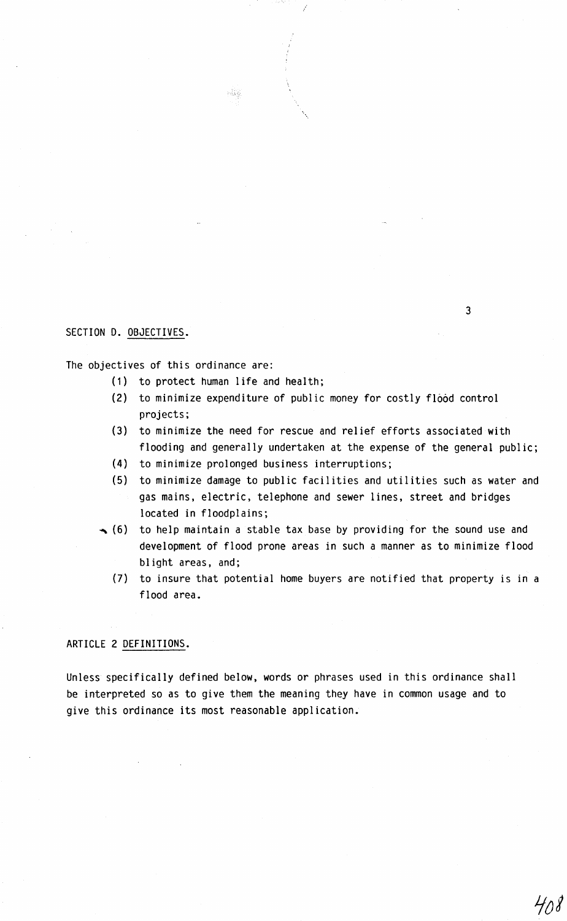## SECTION D. OBJECTIVES.

The objectives of this ordinance are:

(1) to protect human life and health;

pilis.

- (2) to minimize expenditure of public money for costly flood control projects;
- (3) to minimize the need for rescue and relief efforts associated with flooding and generally undertaken at the expense of the general public;
- (4) to minimize prolonged business interruptions;
- (5) to minimize damage to public facilities and utilities such as water and gas mains, electric, telephone and sewer lines, street and bridges located in floodplains;
- $\rightarrow$  (6) to help maintain a stable tax base by providing for the sound use and development of flood prone areas in such a manner as to minimize flood blight areas, and;
	- (7) to insure that potential home buyers are notified that property is in a flood area.

## ARTICLE 2 DEFINITIONS.

Unless specifically defined below, words or phrases used in this ordinance shall be interpreted so as to give them the meaning they have in common usage and to give this ordinance its most reasonable application.

3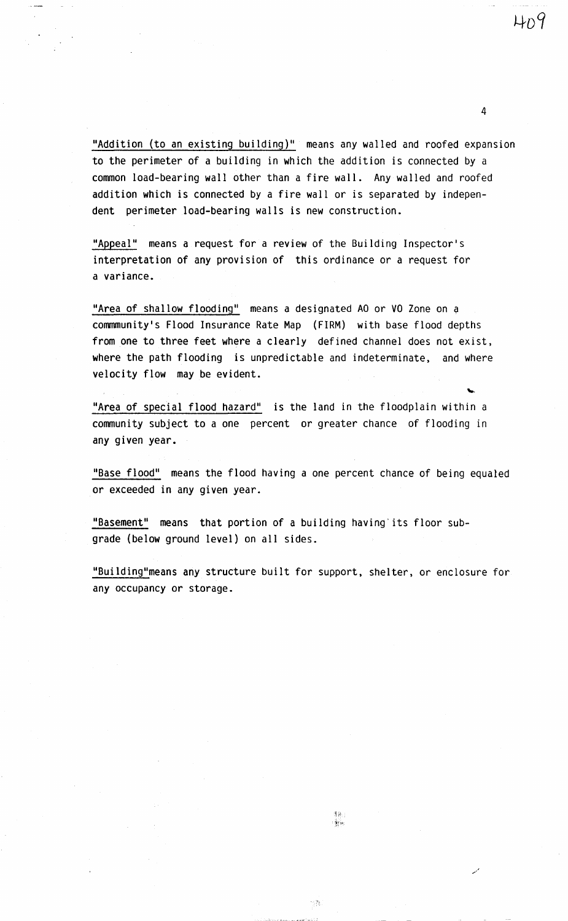4

"Addition (to an existing building)" means any walled and roofed expansion to the perimeter of a building in which the addition is connected by a common load-bearing wall other than a fire wall. Any walled and roofed addition which is connected by a fire wall or is separated by independent perimeter load-bearing walls is new construction.

"Appeal" means a request for a review of the Building Inspector's interpretation of any provision of this ordinance or a request for a variance.

"Area of shallow flooding" means a designated AO or VO Zone on a commmunity's Flood Insurance Rate Map (FIRM) with base flood depths from one to three feet where a clearly defined channel does not exist, where the path flooding is unpredictable and indeterminate, and where velocity flow may be evident.

"Area of special flood hazard" is the land in the floodplain within a community subject to a one percent or greater chance of flooding in any given year.

"Base flood" means the flood having a one percent chance of being equaled or exceeded in any given year.

"Basement" means that portion of a building having' its floor subgrade (below ground level) on all sides.

"Building"means any structure built for support, shelter, or enclosure for any occupancy or storage.

, */* 

竹為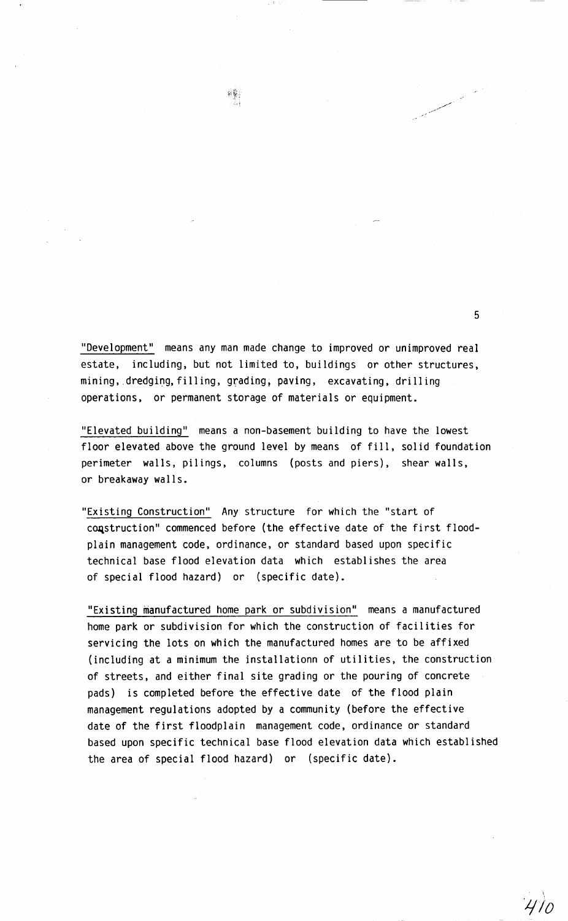"Development" means any man made change to improved or unimproved real estate, including, but not limited to, buildings or other structures, mining, dredging, filling, grading, paving, excavating, drilling operations, or permanent storage of materials or equipment.

彩影

"Elevated building" means a non-basement building to have the lowest floor elevated above the ground level by means of fill, solid foundation perimeter walls, pilings, columns (posts and piers), shear walls, or breakaway walls.

"Existing Construction" Any structure for which the "start of construction" commenced before (the effective date of the first floodplain management code, ordinance, or standard based upon specific technical base flood elevation data which establishes the area of special flood hazard) or (specific date).

"Existing manufactured home park or subdivision" means a manufactured home park or subdivision for which the construction of facilities for servicing the lots on which the manufactured homes are to be affixed (including at a minimum the installationn of utilities, the construction of streets, and either final site grading or the pouring of concrete pads) is completed before the effective date of the flood plain management regulations adopted by a community (before the effective date of the first floodplain management code, ordinance or standard based upon specific technical base flood elevation data which established the area of special flood hazard) or (specific date).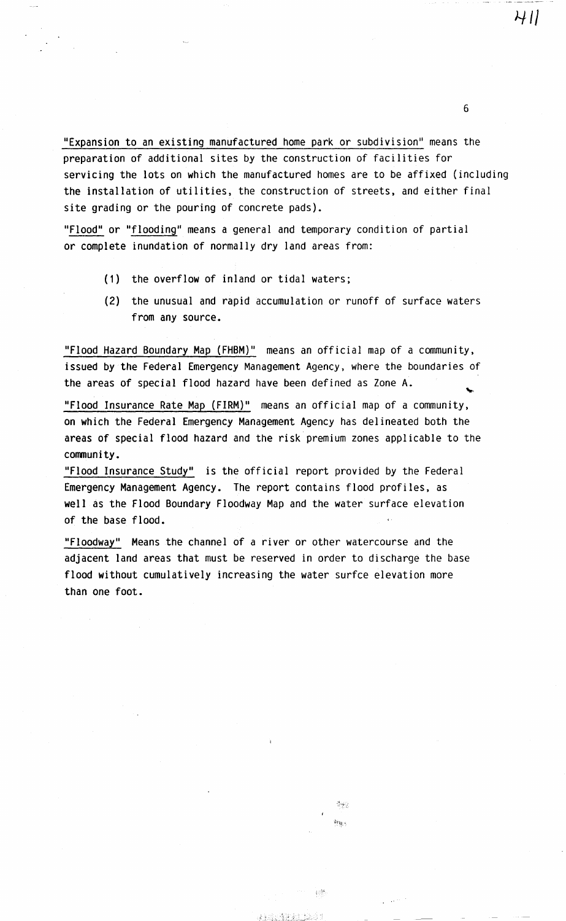"Expansion to an existing manufactured home park or subdivision" means the preparation of additional sites by the construction of facilities for servicing the lots on which the manufactured homes are to be affixed (including the installation of utilities, the construction of streets, and either final site grading or the pouring of concrete pads).

"Flood" or "flooding" means a general and temporary condition of partial or complete inundation of normally dry land areas from:

- (1) the overflow of inland or tidal waters;
- (2) the unusual and rapid accumulation or runoff of surface waters from any source.

"Flood Hazard Boundary Map (FHBM)" means an official map of a community, issued by the Federal Emergency Management Agency, where the boundaries of the areas of special flood hazard have been defined as Zone A.

"Flood Insurance Rate Map (FIRM)" means an official map of a community, on which the Federal Emergency Management Agency has delineated both the areas of special flood hazard and the risk premium zones applicable to the community.

"Flood Insurance Study" is the official report provided by the Federal Emergency Management Agency. The report contains flood profiles, as well as the Flood Boundary Floodway Map and the water surface elevation of the base flood.

"Floodway" Means the channel of a river or other watercourse and the adjacent land areas that must be reserved in order to discharge the base flood without cumulatively increasing the water surfce elevation more than one foot.

> 중반도 新疆市

 $4.35%$ 

**未知的情况的比较高**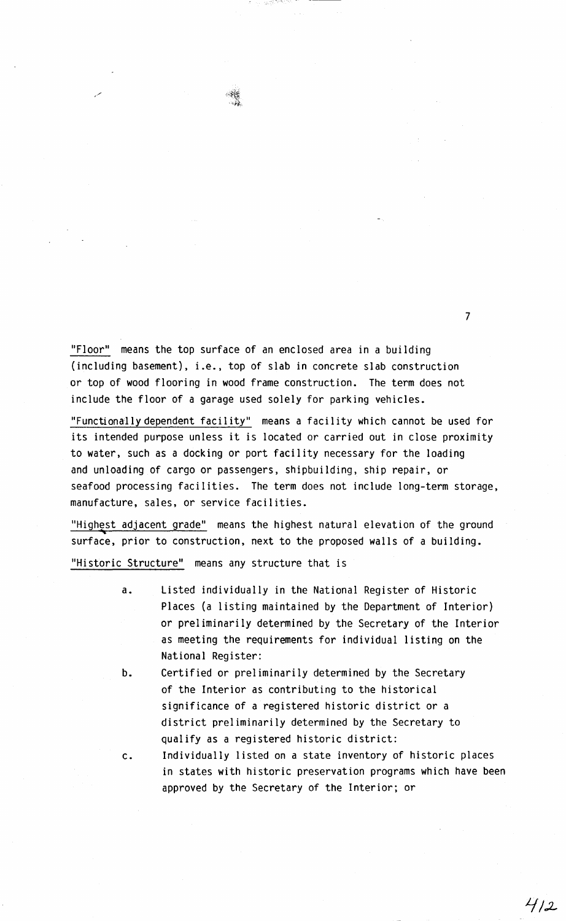"Floor" means the top surface of an enclosed area in a building (including basement), i.e., top of slab in concrete slab construction or top of wood flooring in wood frame construction. The term does not include the floor of a garage used solely for parking vehicles.

್ಯಾರೆಟಿಗ್ ಬಿ

7

 $412$ 

"Functionallydependent facility" means a facility which cannot be used for its intended purpose unless it is located or carried out in close proximity to water, such as a docking or port facility necessary for the loading and unloading of cargo or passengers, shipbuilding, ship repair, or seafood processing facilities. The term does not include long-term storage, manufacture, sales, or service facilities.

"Highest adjacent grade" means the highest natural elevation of the ground surface, prior to construction, next to the proposed walls of a building.

"Historic Structure" means any structure that is

- a. Listed individually in the National Register of Historic Places (a listing maintained by the Department of Interior) or preliminarily determined by the Secretary of the Interior as meeting the requirements for individual listing on the National Register:
- b. Certified or preliminarily determined by the Secretary of the Interior as contributing to the historical significance of a registered historic district or a district preliminarily determined by the Secretary to qualify as a registered historic district:

c. Individually listed on a state inventory of historic places in states with historic preservation programs which have been approved by the Secretary of the Interior; or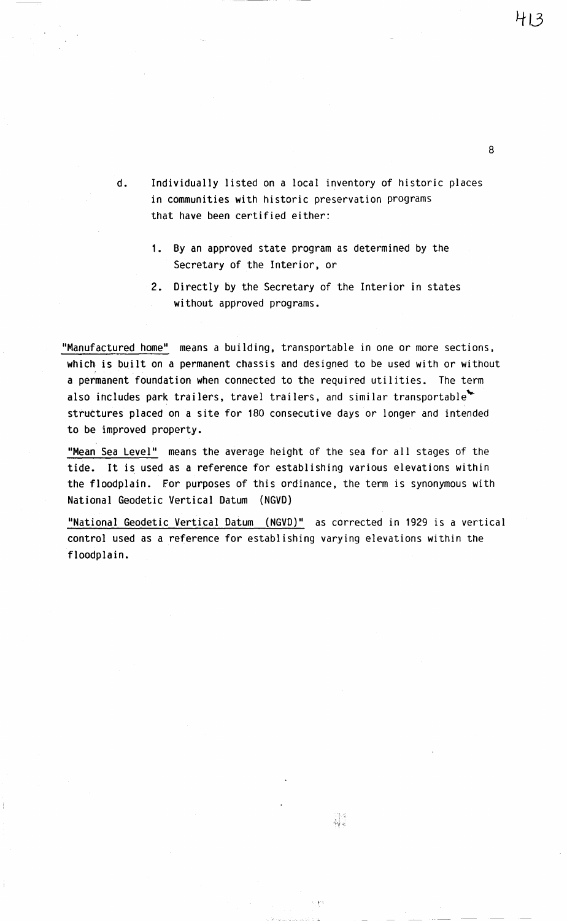413

d. Individually listed on a local inventory of historic places in communities with historic preservation programs that have been certified either:

- 1. By an approved state program as determined by the Secretary of the Interior, or
- 2. Directly by the Secretary of the Interior in states without approved programs.

"Manufactured home" means a building, transportable in one or more sections, which is built on a permanent chassis and designed to be used with or without a permanent foundation when connected to the required utilities. The term also includes park trailers, travel trailers, and similar transportable struttures placed on a site for 180 consecutive days or longer and intended to be improved property.

"Mean Sea Level" means the average height of the sea for all stages of the tide. It is used as a reference for establishing various elevations within the floodplain. For purposes of this ordinance, the term is synonymous with National Geodetic Vertical Datum (NGVD)

"National Geodetic Vertical Datum (NGVD)" as corrected in 1929 is a vertical control used as a reference for establishing varying elevations within the floodplain.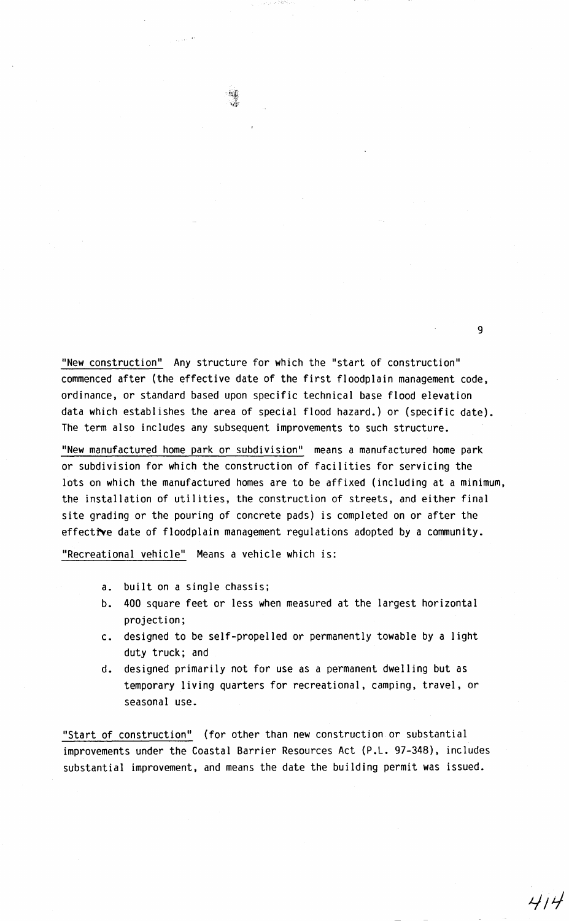"New construction" Any structure for which the "start of construction" commenced after (the effective date of the first floodplain management code, ordinance, or standard based upon specific technical base flood elevation data which establishes the area of special flood hazard.) or (specific date). The term also includes any subsequent improvements to such structure.

"New manufactured home park or subdivision" means a manufactured home park or subdivision for which the construction of facilities for servicing the lots on which the manufactured homes are to be affixed (including at a minimum, the installation of utilities, the construction of streets, and either final site grading or the pouring of concrete pads) is completed on or after the effective date of floodplain management regulations adopted by a community.

"Recreational vehicle" Means a vehicle which is:

- a. built on a single chassis;
- b. 400 square feet or less when measured at the largest horizontal projection;
- c. designed to be self-propelled or permanently towable by a light duty truck; and
- d. designed primarily not for use as a permanent dwelling but as temporary living quarters for recreational, camping, travel, or seasonal use.

"Start of construction" (for other than new construction or substantial improvements under the Coastal Barrier Resources Act (P.L. 97-348), includes substantial improvement, and means the date the building permit was issued.

 $\sim 10^{11}$  eV  $^{-2}$ 

9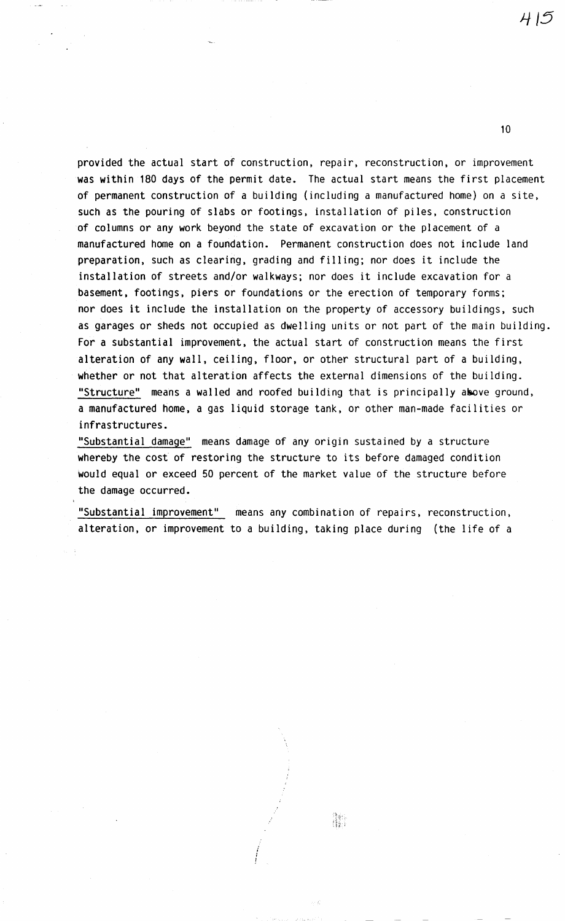*ti /5* 

10

provided the actual start of construction, repair, reconstruction, or improvement was within 180 days of the permit date. The actual start means the first placement of permanent construction of a building {including a manufactured home) on a site, such as the pouring of slabs or footings, installation of piles, construction of columns or any work beyond the state of excavation or the placement of a manufactured home on a foundation. Permanent construction does not include land preparation, such as clearing, grading and filling; nor does it include the installation of streets and/or walkways; nor does it include excavation for a basement, footings, piers or foundations or the erection of temporary forms; nor does it include the installation on the property of accessory buildings, such as garages or sheds not occupied as dwelling units or not part of the main building. For a substantial improvement, the actual start of construction means the first alteration of any wall, ceiling, floor, or other structural part of a building, whether or not that alteration affects the external dimensions of the building.<br>"Structure" means a walled and roofed building that is principally asove ground, a manufactured home, a gas liquid storage tank, or other man-made facilities or infrastructures.

"Substantial damage'' means damage of any origin sustained by a structure whereby the cost of restoring the structure to its before damaged condition would equal or exceed 50 percent of the market value of the structure before the damage occurred.

"Substantial improvement'' means any combination of repairs, reconstruction, alteration, or improvement to a building, taking place during (the life of a



I

I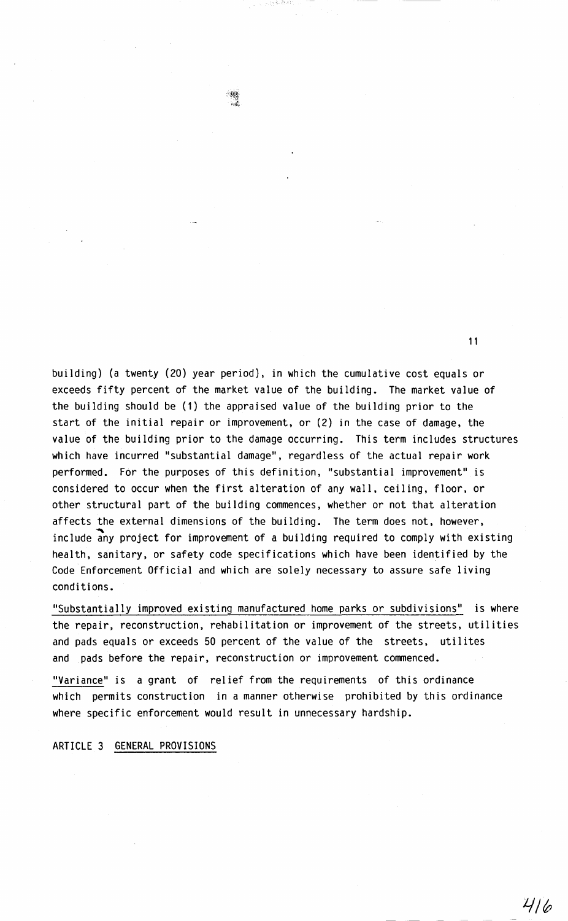building) (a twenty (20) year period), in which the cumulative cost equals or exceeds fifty percent of the market value of the building. The market value of the building should be (1) the appraised value of the building prior to the start of the initial repair or improvement, or (2) in the case of damage, the value of the building prior to the damage occurring. This term includes structures which have incurred "substantial damage", regardless of the actual repair work performed. For the purposes of this definition, "substantial improvement" is considered to occur when the first alteration of any wall, ceiling, floor, or other structural part of the building commences, whether or not that alteration affects the external dimensions of the building. The term does not, however, include any project for improvement of a building required to comply with existing health, sanitary, or safety code specifications which have been identified by the Code Enforcement Official and which are solely necessary to assure safe living conditions.

 $\frac{1}{2}$ 

''Substantially improved existing manufactured home parks or subdivisions" is where the repair, reconstruction, rehabilitation or improvement of the streets, utilities and pads equals or exceeds 50 percent of the value of the streets, utilites and pads before the repair, reconstruction or improvement commenced.

"Variance" is a grant of relief from the requirements of this ordinance which permits construction in a manner otherwise prohibited by this ordinance where specific enforcement would result in unnecessary hardship.

ARTICLE 3 GENERAL PROVISIONS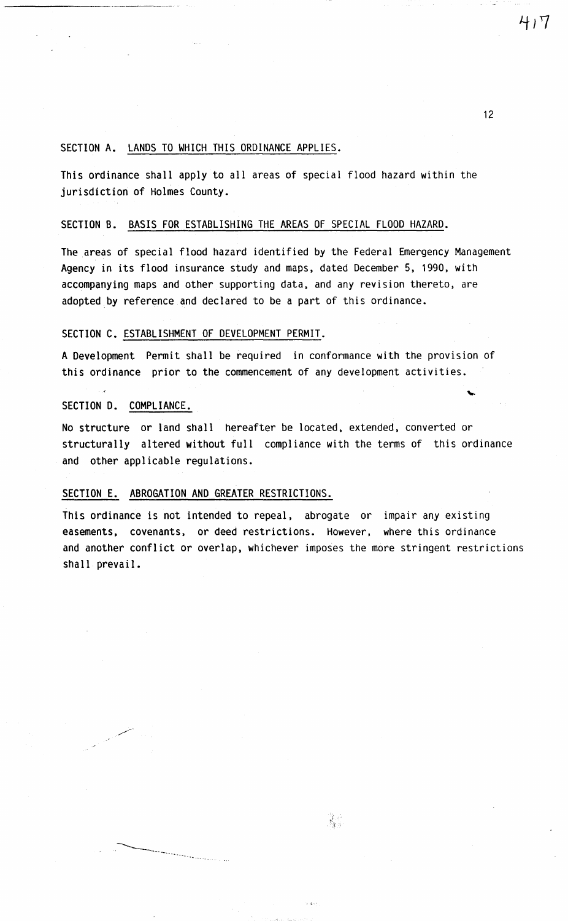### SECTION A. LANDS TO WHICH THIS ORDINANCE APPLIES.

This ordinance shall apply to all areas of special flood hazard within the jurisdiction of Holmes County.

#### SECTION B. BASIS FOR ESTABLISHING THE AREAS OF SPECIAL FLOOD HAZARD.

The areas of special flood hazard identified by the Federal Emergency Management Agency in its flood insurance study and maps, dated December 5, 1990, with accompanying maps and other supporting data, and any revision thereto, are adopted by reference and declared to be a part of this ordinance.

#### SECTION C. ESTABLISHMENT OF DEVELOPMENT PERMIT.

A Development Permit shall be required in conformance with the provision of this ordinance prior to the commencement of any development activities.

#### SECTION D. COMPLIANCE.

\_,-"---

----------------...

--------------------- -

No structure or land shall hereafter be located, extended, converted or structurally altered without full compliance with the terms of this ordinance and other applicable regulations.

## SECTION E. ABROGATION AND GREATER RESTRICTIONS.

This ordinance is not intended to repeal, abrogate or impair any existing easements, covenants, or deed restrictions. However, where this ordinance and another conflict or overlap, whichever imposes the more stringent restrictions shall prevail.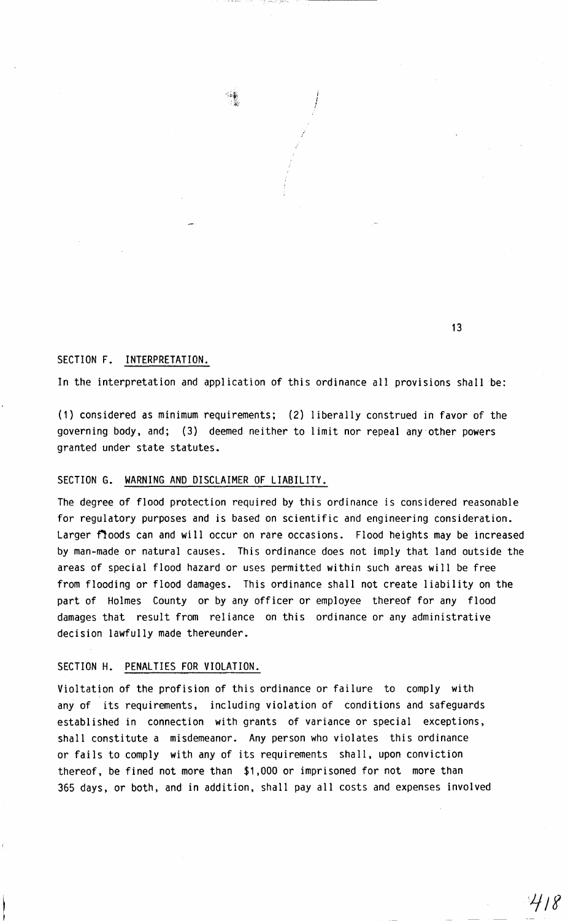

i *!*  I

## SECTION F. INTERPRETATION.

In the interpretation and application of this ordinance all provisions shall be:

(1) considered as minimum requirements; (2) liberally construed in favor of the governing body, and; (3) deemed neither to limit nor repeal any other powers granted under state statutes.

## SECTION G. WARNING AND DISCLAIMER OF LIABILITY.

The degree of flood protection required by this ordinance is considered reasonable for regulatory purposes and is based on scientific and engineering consideration. Larger floods can and will occur on rare occasions. Flood heights may be increased by man-made or natural causes. This ordinance does not imply that land outside the areas of special flood hazard or uses permitted within such areas will be free from flooding or flood damages. This ordinance shall not create liability on the part of Holmes County or by any officer or employee thereof for any flood damages that result from reliance on this ordinance or any administrative decision lawfully made thereunder.

### SECTION H. PENALTIES FOR VIOLATION.

Violtation of the profision of this ordinance or failure to comply with any of its requirements, including violation of conditions and safeguards established in connection with grants of variance or special exceptions, shall constitute a misdemeanor. Any person who violates this ordinance or fails to comply with any of its requirements shall, upon conviction thereof, be fined not more than \$1,000 or imprisoned for not more than 365 days, or both, and in addition, shall pay all costs and expenses involved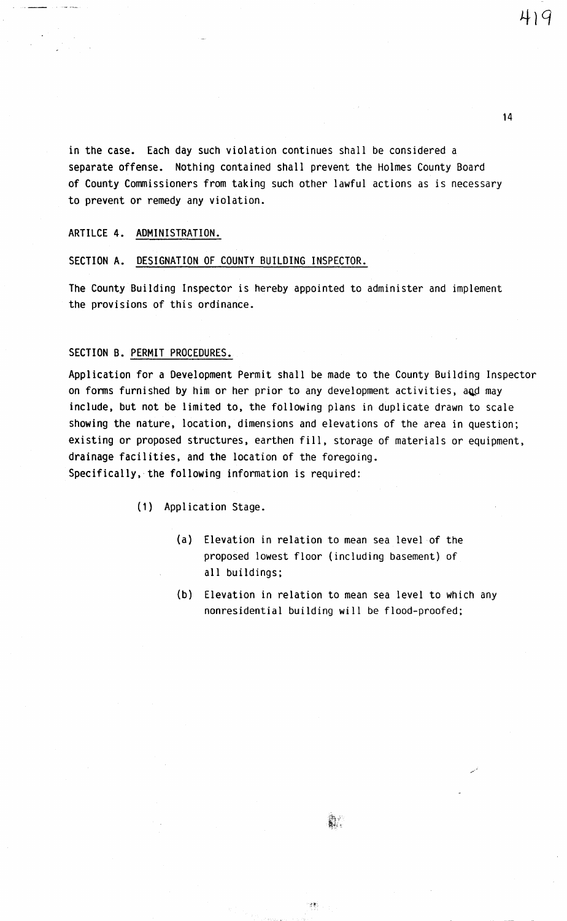419

in the case. Each day such violation continues shall be considered a separate offense. Nothing contained shall prevent the Holmes County Board of County Commissioners from taking such other lawful actions as is necessary to prevent or remedy any violation.

ARTILCE 4. ADMINISTRATION.

SECTION A. DESIGNATION OF COUNTY BUILDING INSPECTOR.

The County Building Inspector is hereby appointed to administer and implement the provisions of this ordinance.

#### SECTION 8. PERMIT PROCEDURES.

Application for a Development Permit shall be made to the County Building Inspector on forms furnished by him or her prior to any development activities, and may include, but not be limited to, the following plans in duplicate drawn to scale showing the nature, location, dimensions and elevations of the area in question; existing or proposed structures, earthen fill, storage of materials or equipment, drainage facilities, and the location of the foregoing. Specifically, the following information is required:

(1) Application Stage.

- (a) Elevation in relation to mean sea level of the proposed lowest floor (including basement) of all buildings;
- (b) Elevation in relation to mean sea level to which any nonresidential building will be flood-proofed;

en British<br>Titulo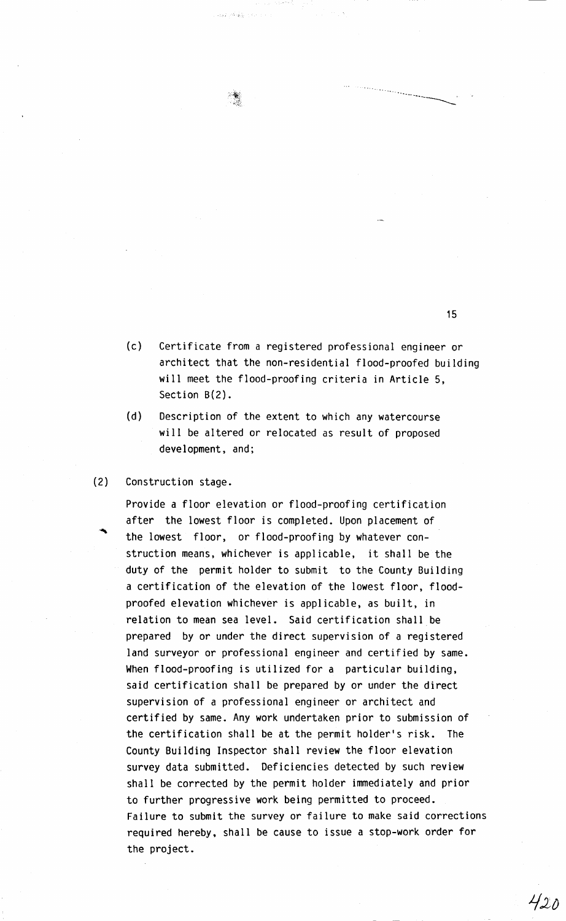- (c) Certificate from a registered professional engineer or architect that the non-residential flood-proofed building will meet the flood-proofing criteria in Article 5, Section 8(2).
- (d) Description of the extent to which any watercourse will be altered or relocated as result of proposed development, and;

المجاورة أبائك المرورية

(2) Construction stage.

Provide a floor elevation or flood-proofing certification after the lowest floor is completed. Upon placement of the lowest floor, or flood-proofing by whatever construction means, whichever is applicable, it shall be the duty of the permit holder to submit to the County Building a certification of the elevation of the lowest floor, floodproofed elevation whichever is applicable, as built, in relation to mean sea level. Said certification shall be prepared by or under the direct supervision of a registered land surveyor or professional engineer and certified by same. When flood-proofing is utilized for a particular building, said certification shall be prepared by or under the direct supervision of a professional engineer or architect and certified by same. Any work undertaken prior to submission of the certification shall be at the permit holder's risk. The County Building Inspector shall review the floor elevation survey data submitted. Deficiencies detected by such review shall be corrected by the permit holder immediately and prior to further progressive work being permitted to proceed. Failure to submit the survey or failure to make said corrections required hereby, shall be cause to issue a stop-work order for the project.

15

-------------'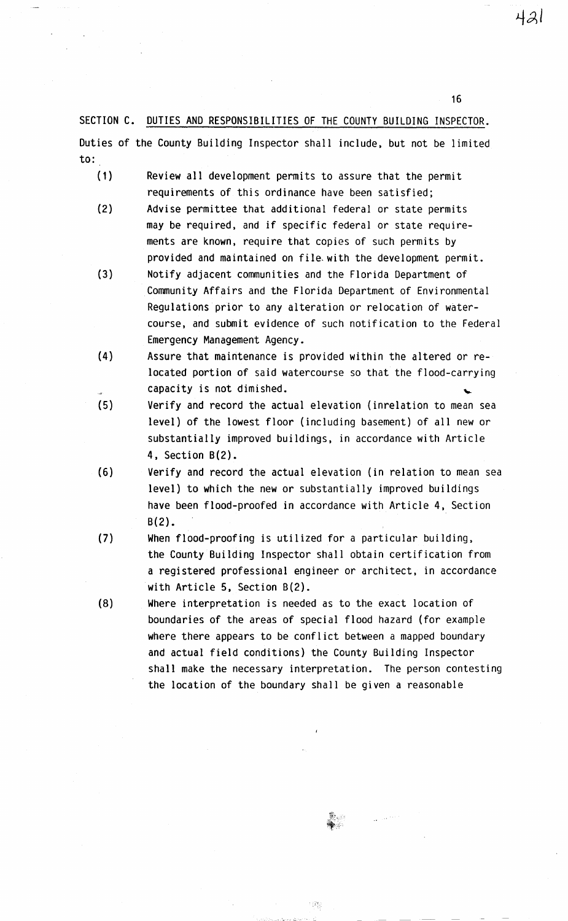SECTION C. DUTIES AND RESPONSIBILITIES OF THE COUNTY BUILDING INSPECTOR. Duties of the County Building Inspector shall include, but not be limited to:

- (1) Review all development permits to assure that the permit requirements of this ordinance have been satisfied;
- (2) Advise permittee that additional federal or state permits may be required, and if specific federal or state requirements are known. require that copies of such permits by provided and maintained on file.with the development permit.
- (3) Notify adjacent communities and the Florida Department of Community Affairs and the Florida Department of Environmental Regulations prior to any alteration or relocation of watercourse, and submit evidence of such notification to the Federal Emergency Management Agency.
- (4) Assure that maintenance is provided within the altered or relocated portion of said watercourse so that the flood-carrying capacity is not dimished.
- (5) Verify and record the actual elevation (inrelation to mean sea level) of the lowest floor (including basement} of all new or substantially improved buildings, in accordance with Article 4, Section  $B(2)$ .
- (6) Verify and record the actual elevation (in relation to mean sea level) to which the new or substantially improved buildings have been flood-proofed in accordance with Article 4, Section B(2).
- (7) When flood-proofing is utilized for a particular building, the County Building Inspector shall obtain certification from a registered professional engineer or architect, in accordance with Article 5, Section B(2).
- (8) Where interpretation is needed as to the exact location of boundaries of the areas of special flood hazard (for example where there appears to be conflict between a mapped boundary and actual field conditions} the County Building Inspector shall make the necessary interpretation. The person contesting the location of the boundary shall be given a reasonable

 $1$  (its)

16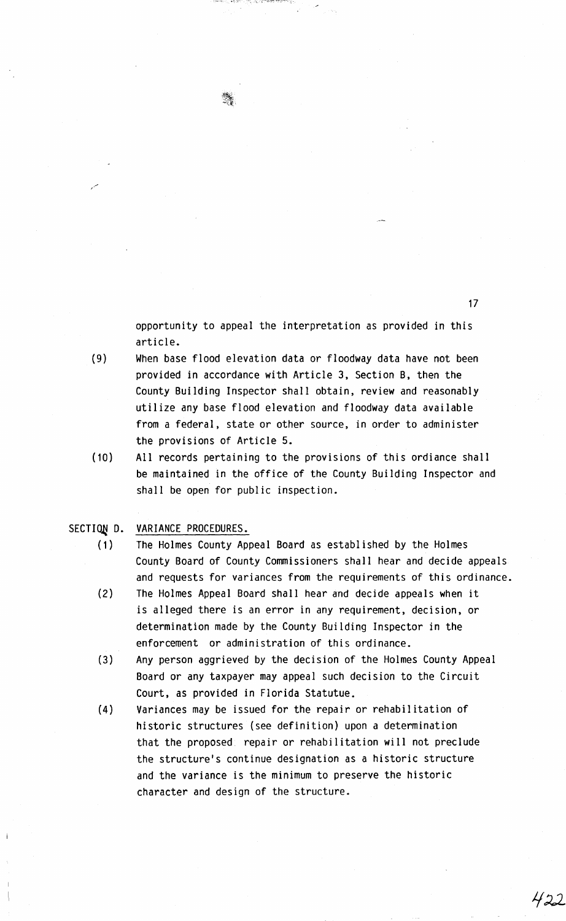opportunity to appeal the interpretation as provided in this article.

(9) When base flood elevation data or floodway data have not been provided in accordance with Article 3, Section B, then the County Building Inspector shall obtain, review and reasonably utilize any base flood elevation and floodway data available from a federal, state or other source, in order to administer the provisions of Article 5.

د پر ۱۳۷۸ کې ۱۳۹۳ کال کې په په کال د ۱۳۹۷ کې د د ۱۳۹۷ ک

(10) All records pertaining to the provisions of this ordiance shall be maintained in the office of the County Building Inspector and shall be open for public inspection.

# SECTION D. VARIANCE PROCEDURES.

- (1) The Holmes County Appeal Board as established by the Holmes County Board of County Commissioners shall hear and decide appeals and requests for variances from the requirements of this ordinance.
- (2) The Holmes Appeal Board shall hear and decide appeals when it is alleged there is an error in any requirement, decision, or determination made by the County Building Inspector in the enforcement or administration of this ordinance.
- (3) Any person aggrieved by the decision of the Holmes County Appeal Board or any taxpayer may appeal such decision to the Circuit Court, as provided in Florida Statutue.
- (4) Variances may be issued for the repair or rehabilitation of historic structures (see definition) upon a determination that the proposed repair or rehabilitation will not preclude the structure's continue designation as a historic structure and the variance is the minimum to preserve the historic character and design of the structure.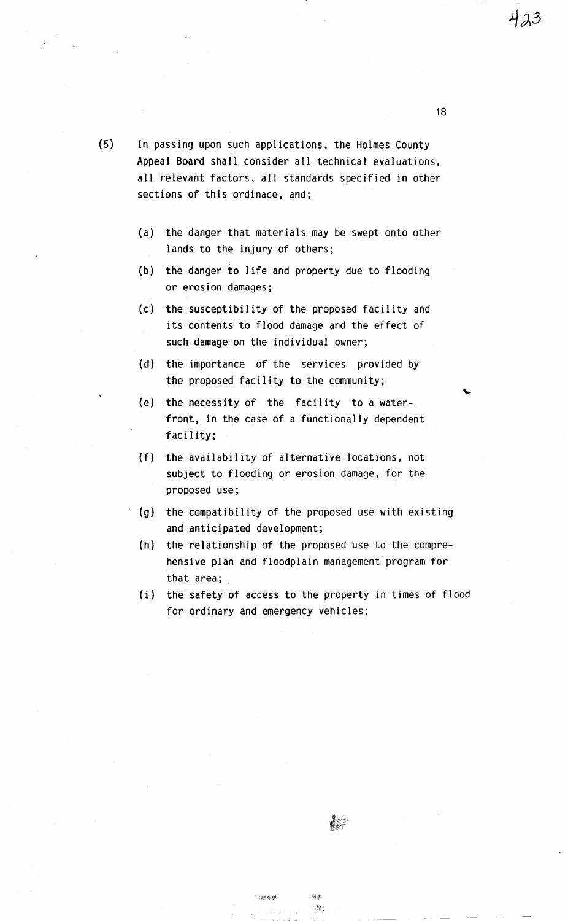- (5) In passing upon such applications, the Holmes County Appeal Board shall consider all technical evaluations, all relevant factors, all standards specified in other sections of this ordinace, and;
	- (a) the danger that materials may be swept onto other lands to the injury of others;
	- (b) the danger to life and property due to flooding or erosion damages;
	- (c) the susceptibility of the proposed facility and its contents to flood damage and the effect of such damage on the individual owner;
	- (d) the importance of the services provided by the proposed facility to the community;
	- (e) the necessity of the facility to a waterfront, in the case of a functionally dependent facility;
	- (f) the availability of alternative locations, not subject to flooding or erosion damage, for the proposed use;
	- (g) the compatibility of the proposed use with existing and anticipated development;
	- (h) the relationship of the proposed use to the comprehensive plan and floodplain management program for that area;
	- (i) the safety of access to the property in times of flood for ordinary and emergency vehicles;

₿.

詞數

 $\mathcal{L}_{\mathcal{A}}$ 

计群数据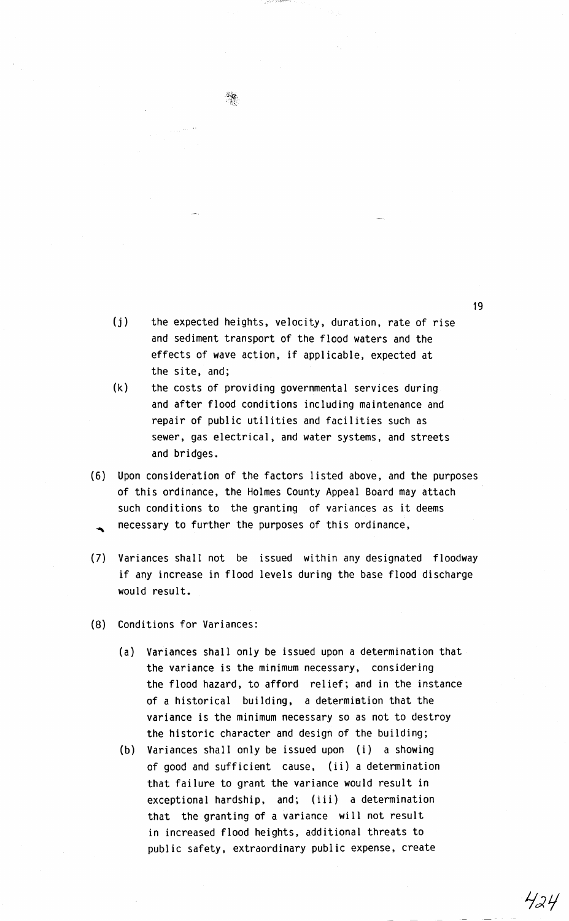- (j) the expected heights, velocity, duration, rate of rise and sediment transport of the flood waters and the effects of wave action, if applicable, expected at the site, and;
- (k) the costs of providing governmental services during and after flood conditions including maintenance and repair of public utilities and facilities such as sewer, gas electrical, and water systems, and streets and bridges.
- (6) Upon consideration of the factors listed above, and the purposes of this ordinance, the Holmes County Appeal Board may attach such conditions to the granting of variances as it deems necessary to further the purposes of this ordinance,
- ( 7) Variances shall not be issued within any designated floodway if any increase in flood levels during the base flood discharge would result.
- (8) Conditions for Variances:
	- (a) Variances shall only be issued upon a determination that the variance is the minimum necessary, considering the flood hazard, to afford relief; and in the instance of a historical building, a determiation that the variance is the minimum necessary so as not to destroy the historic character and design of the building;
	- (b) Variances shall only be issued upon (i) a showing of good and sufficient cause, (ii) a determination that failure to grant the variance would result in exceptional hardship, and; (iii) a determination that the granting of a variance will not result in increased flood heights, additional threats to public safety, extraordinary public expense, create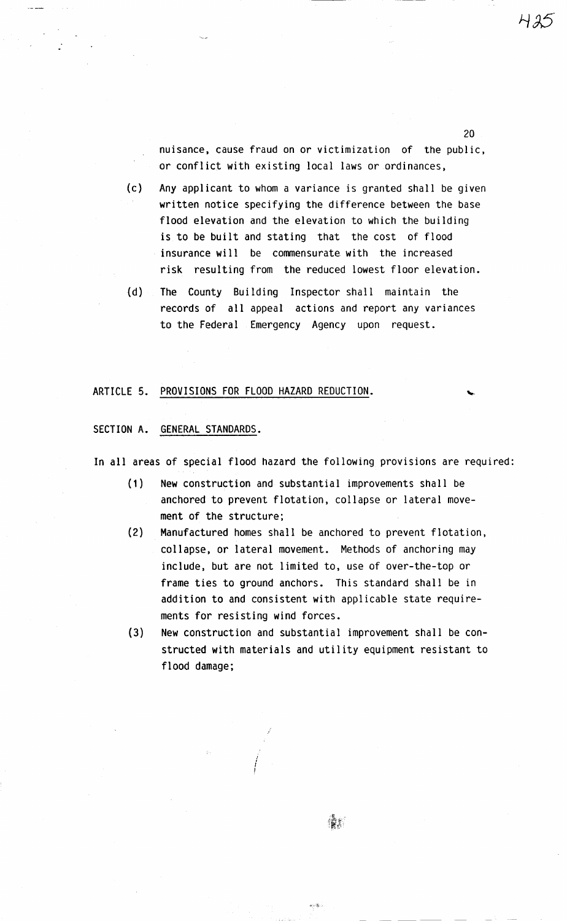nuisance, cause fraud on or victimization of the public, or conflict with existing local laws or ordinances,

20

(c) Any applicant to whom a variance is granted shall be given written notice specifying the difference between the base flood elevation and the elevation to which the building is to be built and stating that the cost of flood insurance will be commensurate with the increased risk resulting from the reduced lowest floor elevation.

(d) The County Building Inspector shall maintain the records of all appeal actions and report any variances to the Federal Emergency Agency upon request.

## ARTICLE 5. PROVISIONS FOR FLOOD HAZARD REDUCTION.

SECTION A. GENERAL STANDARDS.

In all areas of special flood hazard the following provisions are required:

- (1) New construction and substantial improvements shall be anchored to prevent flotation, collapse or lateral movement of the structure;
- (2) Manufactured homes shall be anchored to prevent flotation, collapse, or lateral movement. Methods of anchoring may include, but are not limited to, use of over-the-top or frame ties to ground anchors. This standard shall be in addition to and consistent with applicable state requirements for resisting wind forces.
- (3) New construction and substantial improvement shall be constructed with materials and utility equipment resistant to flood damage;

I { I

i

馕料

 $\Delta\leq\delta\leq\infty$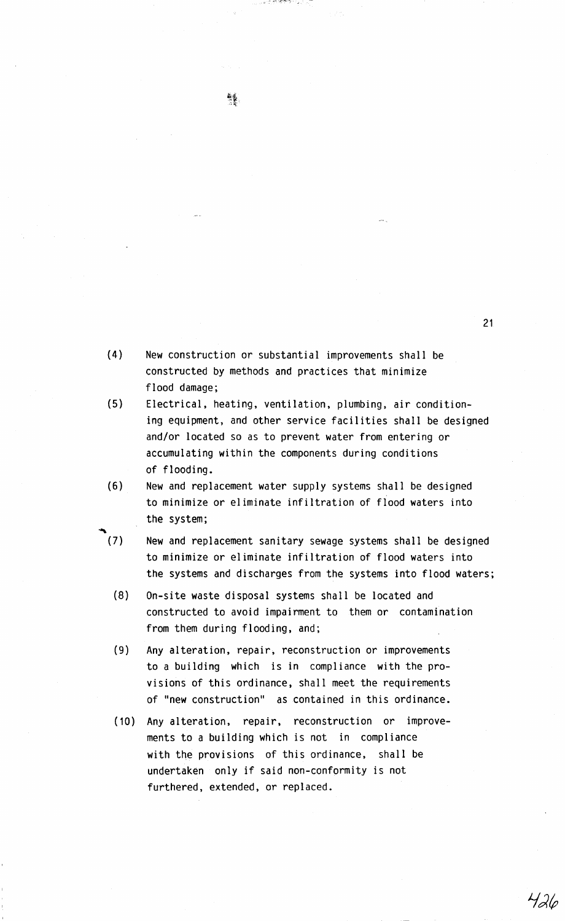$(7)$ (4) New construction or substantial improvements shall be constructed by methods and practices that minimize flood damage; and/or located so as to prevent water from entering or accumulating within the components during conditions of flooding. (6) New and replacement water supply systems shall be designed to minimize or eliminate infiltration of flood waters into the system; New and replacement sanitary sewage systems shall be designed to minimize or eliminate infiltration of flood waters into the systems and discharges from the systems into flood waters; (8) On-site waste disposal systems shall be located and constructed to avoid impairment to them or contamination from them during flooding, and; (9) Any alteration, repair, reconstruction or improvements to a building which is in compliance with the provisions of this ordinance, shall meet the requirements of "new construction'' as contained in this ordinance. (10) Any alteration, repair, reconstruction or improvements to a building which is not in compliance with the provisions of this ordinance, shall be

undertaken only if said non-conformity is not

furthered, extended, or replaced.

- 
- (5) Electrical, heating, ventilation, plumbing, air conditioning equipment, and other service facilities shall be designed

verstijde Moendmag o

426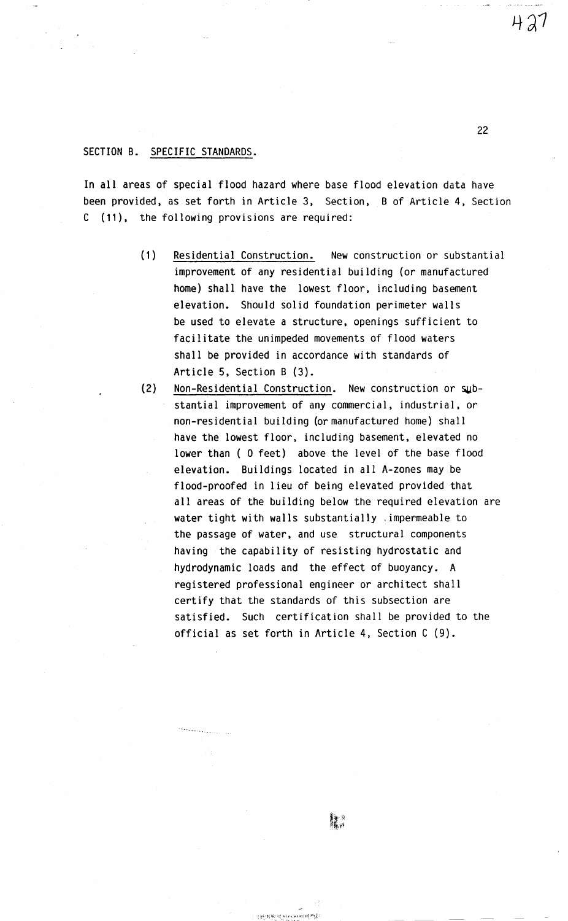### SECTION B. SPECIFIC STANDARDS.

In all areas of special flood hazard where base flood elevation data have been provided, as set forth in Article 3, Section, B of Article 4, Section C (11), the following provisions are required:

- (1) Residential Construction. New construction or substantial improvement of any residential building (or manufactured home) shall have the lowest floor, including basement elevation. Should solid foundation perimeter walls be used to elevate a structure, openings sufficient to facilitate the unimpeded movements of flood waters shall be provided in accordance with standards of Article 5, Section B (3).
- (2) Non-Residential Construction. New construction or substantial improvement of any commercial, industrial, or non-residential building (or manufactured home) shall have the lowest floor, including basement, elevated no lower than ( O feet) above the level of the base flood elevation. Buildings located in all A-zones may be flood-proofed in lieu of being elevated provided that all areas of the building below the required elevation are water tight with walls substantially ,impermeable to the passage of water, and use structural components having the capability of resisting hydrostatic and hydrodynamic loads and the effect of buoyancy. A registered professional engineer or architect shall certify that the standards of this subsection are satisfied. Such certification shall be provided to the official as set forth in Article 4, Section C (9).

 $427$ 

: ··~·-!:·; *W* -:·:.qr· ... } .. ,: ~H ~! .i , -c . ~ \_],, ~ ... '-"

للمستنقذ والمتحاجمة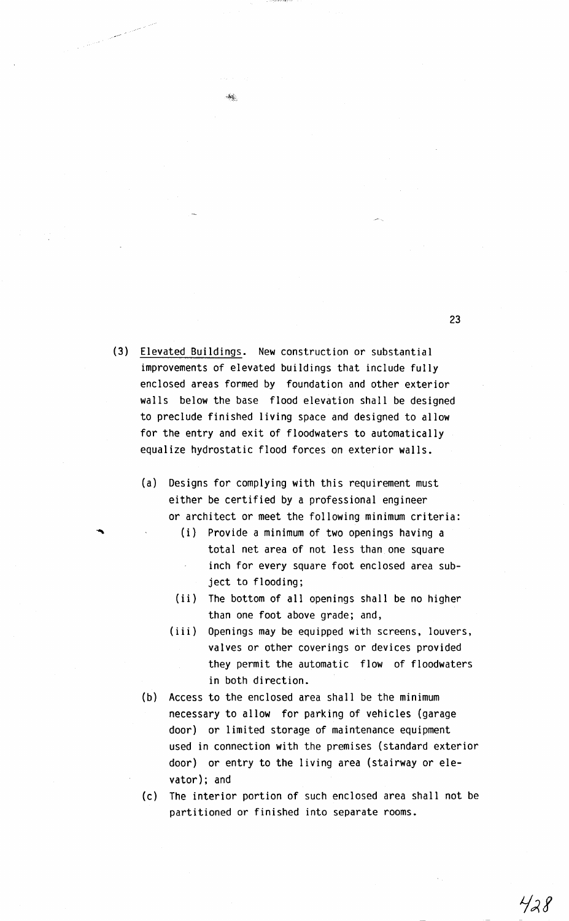(3) Elevated Buildings. New construction or substantial improvements of elevated buildings that include fully enclosed areas formed by foundation and other exterior walls below the base flood elevation shall be designed to preclude finished living space and designed to allow for the entry and exit of floodwaters to automatically equalize hydrostatic flood forces on exterior walls.

 $\mathcal{M}_{\mathcal{S}}$ 

and the second control of the control of the control of the control of the control of the control of the control of the control of the control of the control of the control of the control of the control of the control of t

- (a) Designs for complying with this requirement must either be certified by a professional engineer or architect or meet the following minimum criteria:
	- (i) Provide a minimum of two openings having a total net area of not less than one square inch for every square foot enclosed area subject to flooding;
	- (ii) The bottom of all openings shall be no higher than one foot above grade; and,
	- (iii) Openings may be equipped with screens, louvers, valves or other coverings or devices provided they permit the automatic flow of floodwaters in both direction.
- (b) Access to the enclosed area shall be the minimum necessary to allow for parking of vehicles (garage door) or limited storage of maintenance equipment used in connection with the premises (standard exterior door) or entry to the living area (stairway or elevator); and
- (c) The interior portion of such enclosed area shall not be partitioned or finished into separate rooms.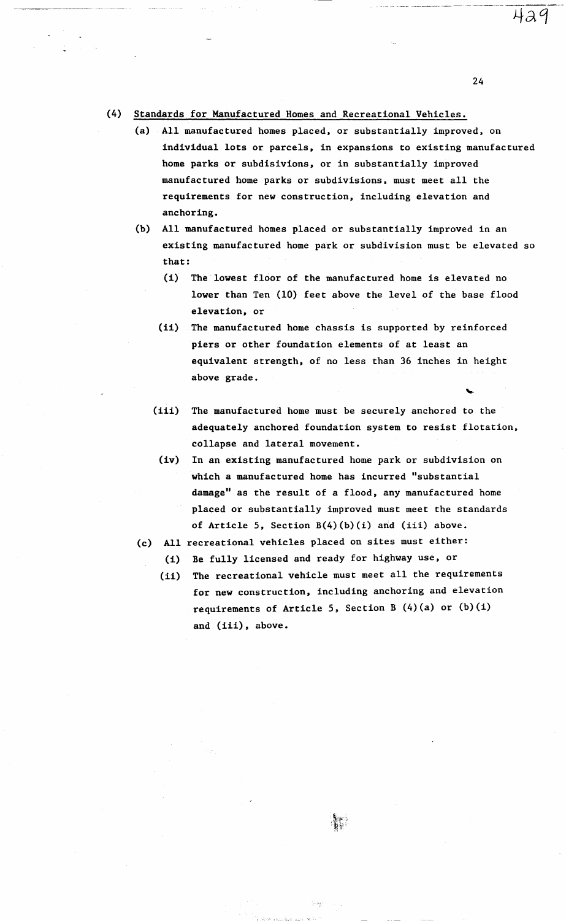## (4) Standards for Manufactured Homes and Recreational Vehicles.

-------- ~~-~--- -~

- (a) All manufactured homes placed, or substantially improved, on individual lots or parcels, in expansions to existing manufactured home parks or subdisivions, or in substantially improved manufactured home parks or subdivisions, must meet all the requirements for new construction, including elevation and anchoring.
- (b) All manufactured homes placed or substantially improved in an existing manufactured home park or subdivision must be elevated so that:
	- (i) The lowest floor of the manufactured home is elevated no lower than Ten (10) feet above the level of the base flood elevation, or
	- (ii) The manufactured home chassis is supported by reinforced piers or other foundation elements of at least an equivalent strength, of no less than 36 inches in height above grade.
	- (iii) The manufactured home must be securely anchored to the adequately anchored foundation system to resist flotation, collapse and lateral movement.
	- (iv) In an existing manufactured home park or subdivision on which a manufactured home has incurred "substantial damage" as the result of a flood, any manufactured home placed or substantially improved must meet the standards of Article 5, Section  $B(4)(b)(i)$  and (iii) above.
- (c) All recreational vehicles placed on sites must either:
	- (i) Be fully licensed and ready for highway use, or
	- (ii) The recreational vehicle must meet all the requirements for new construction, including anchoring and elevation requirements of Article 5, Section B  $(4)(a)$  or  $(b)(i)$ and (iii), above.

24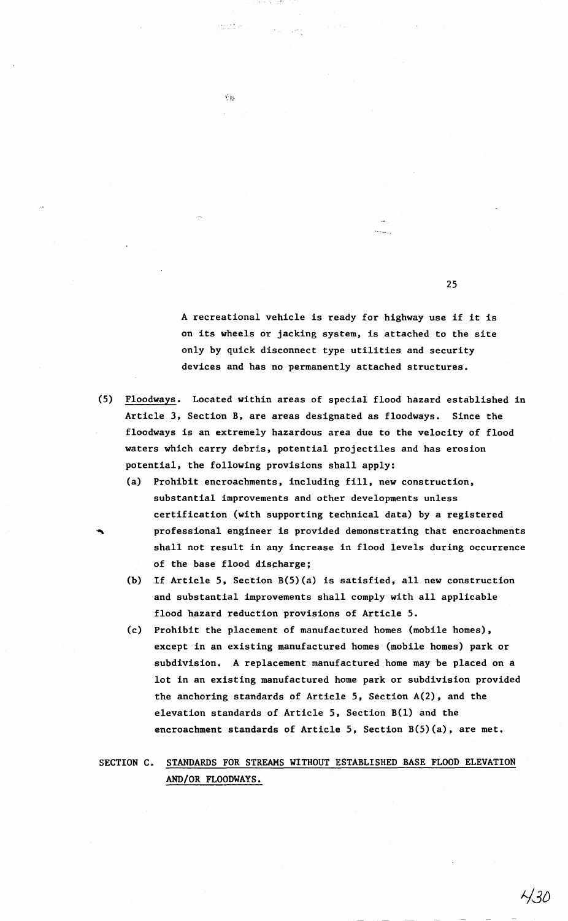A recreational vehicle is ready for highway use if it is on its wheels or jacking system, is attached to the site only by quick disconnect type utilities and security devices and has no permanently attached structures.

25

- (5) Floodways. Located within areas of special flood hazard established in Article 3, Section B, are areas designated as floodways. Since the floodways is an extremely hazardous area due to the velocity of flood waters which carry debris, potential projectiles and has erosion potential, the following provisions shall apply:
	- (a) Prohibit encroachments, including fill, new construction, substantial improvements and other developments unless certification (with supporting technical data) by a registered professional engineer is provided demonstrating that encroachments shall not result in any increase in flood levels during occurrence of the base flood discharge;
	- (b) If Article 5, Section B(5)(a) is satisfied, all new construction and substantial improvements shall comply with all applicable flood hazard reduction provisions of Article 5.
	- (c) Prohibit the placement of manufactured homes (mobile homes), except in an existing manufactured homes (mobile homes) park or subdivision. A replacement manufactured home may be placed on a lot in an existing manufactured home park or subdivision provided the anchoring standards of Article 5, Section A(2), and the elevation standards of Article 5, Section B(l) and the encroachment standards of Article 5, Section B(5)(a), are met.

SECTION C. STANDARDS FOR STREAMS WITHOUT ESTABLISHED BASE FLOOD ELEVATION AND/OR FLOODWAYS.

 $\hat{v}$ 

 $\frac{\partial \varphi(x,y,z,t)}{\partial z^2} \frac{1}{\partial z^2} \sum_{i=1}^n \frac{1}{\lambda_i} \left[ \frac{1}{\lambda_i} \left( \frac{1}{\lambda_i} \right)^2 \right] \left( \frac{1}{\lambda_i} \right)^2 \left( \frac{1}{\lambda_i} \right)^2 \left( \frac{1}{\lambda_i} \right)^2 \left( \frac{1}{\lambda_i} \right)^2 \left( \frac{1}{\lambda_i} \right)^2 \left( \frac{1}{\lambda_i} \right)^2 \left( \frac{1}{\lambda_i} \right)^2 \left( \frac{1}{\lambda_i} \right)^2 \left( \frac{1}{\lambda_i} \right$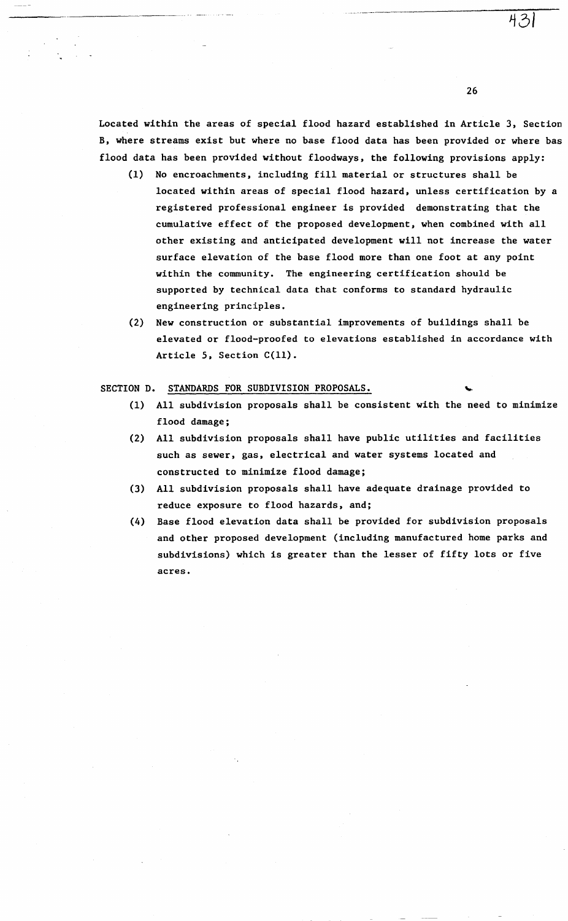Located within the areas of special flood hazard established in Article 3, Section B, where streams exist but where no base flood data has been provided or where bas flood data has been provided without floodways, the following provisions apply:

- (1) No encroachments, including fill material or structures shall be located within areas of special flood hazard, unless certification by a registered professional engineer is provided demonstrating that the cumulative effect of the proposed development, when combined with all other existing and anticipated development will not increase the water surface elevation of the base flood more than one foot at any point within the community. The engineering certification should be supported by technical data that conforms to standard hydraulic engineering principles.
- (2) New construction or substantial improvements of buildings shall be elevated or flood-proofed to elevations established in accordance with Article 5, Section C(ll).

#### SECTION D. STANDARDS FOR SUBDIVISION PROPOSALS.

- (1) All subdivision proposals shall be consistent with the need to minimize flood damage;
- (2) All subdivision proposals shall have public utilities and facilities such as sewer, gas, electrical and water systems located and constructed to minimize flood damage;
- (3) All subdivision proposals shall have adequate drainage provided to reduce exposure to flood hazards, and;
- (4) Base flood elevation data shall be provided for subdivision proposals and other proposed development (including manufactured home parks and subdivisions) which is greater than the lesser of fifty lots or five acres.